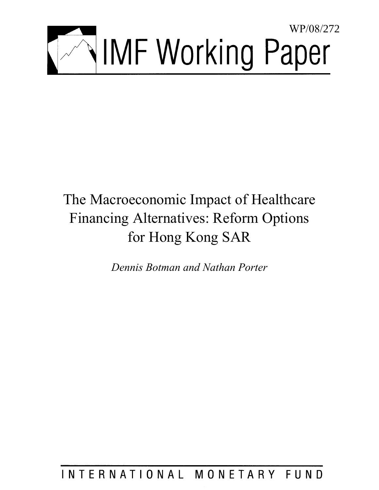

# The Macroeconomic Impact of Healthcare Financing Alternatives: Reform Options for Hong Kong SAR

*Dennis Botman and Nathan Porter* 

## INTERNATIONAL MONETARY FUND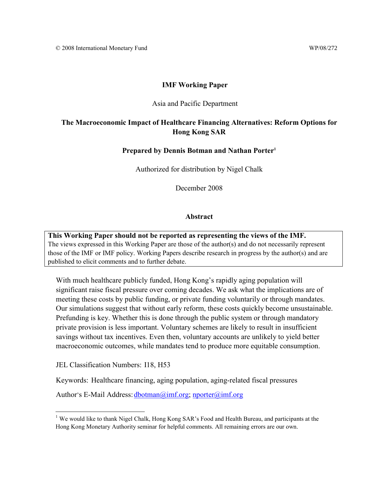#### **IMF Working Paper**

#### Asia and Pacific Department

## **The Macroeconomic Impact of Healthcare Financing Alternatives: Reform Options for Hong Kong SAR**

#### **Prepared by Dennis Botman and Nathan Porter1**

Authorized for distribution by Nigel Chalk

December 2008

#### **Abstract**

**This Working Paper should not be reported as representing the views of the IMF.** The views expressed in this Working Paper are those of the author(s) and do not necessarily represent those of the IMF or IMF policy. Working Papers describe research in progress by the author(s) and are published to elicit comments and to further debate.

With much healthcare publicly funded, Hong Kong's rapidly aging population will significant raise fiscal pressure over coming decades. We ask what the implications are of meeting these costs by public funding, or private funding voluntarily or through mandates. Our simulations suggest that without early reform, these costs quickly become unsustainable. Prefunding is key. Whether this is done through the public system or through mandatory private provision is less important. Voluntary schemes are likely to result in insufficient savings without tax incentives. Even then, voluntary accounts are unlikely to yield better macroeconomic outcomes, while mandates tend to produce more equitable consumption.

JEL Classification Numbers: I18, H53

Keywords: Healthcare financing, aging population, aging-related fiscal pressures

Author's E-Mail Address: dbotman@imf.org; nporter@imf.org

<sup>&</sup>lt;sup>1</sup> We would like to thank Nigel Chalk, Hong Kong SAR's Food and Health Bureau, and participants at the Hong Kong Monetary Authority seminar for helpful comments. All remaining errors are our own.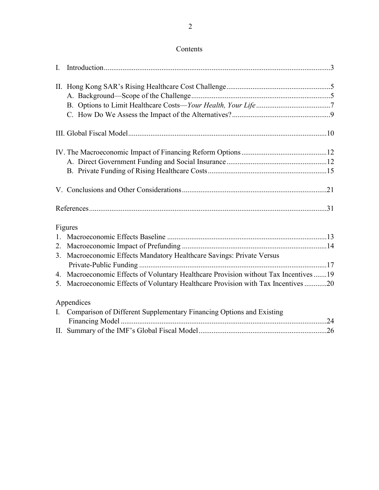## Contents

| Figures                                                                              |  |
|--------------------------------------------------------------------------------------|--|
|                                                                                      |  |
|                                                                                      |  |
| 3. Macroeconomic Effects Mandatory Healthcare Savings: Private Versus                |  |
|                                                                                      |  |
| 4. Macroeconomic Effects of Voluntary Healthcare Provision without Tax Incentives 19 |  |
| 5. Macroeconomic Effects of Voluntary Healthcare Provision with Tax Incentives 20    |  |
| Appendices                                                                           |  |
| I. Comparison of Different Supplementary Financing Options and Existing              |  |
|                                                                                      |  |
|                                                                                      |  |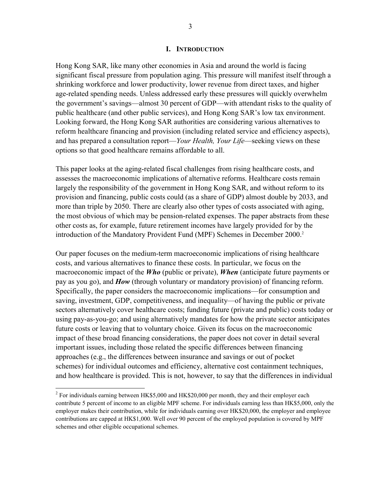#### **I. INTRODUCTION**

Hong Kong SAR, like many other economies in Asia and around the world is facing significant fiscal pressure from population aging. This pressure will manifest itself through a shrinking workforce and lower productivity, lower revenue from direct taxes, and higher age-related spending needs. Unless addressed early these pressures will quickly overwhelm the government's savings—almost 30 percent of GDP—with attendant risks to the quality of public healthcare (and other public services), and Hong Kong SAR's low tax environment. Looking forward, the Hong Kong SAR authorities are considering various alternatives to reform healthcare financing and provision (including related service and efficiency aspects), and has prepared a consultation report—*Your Health, Your Life*—seeking views on these options so that good healthcare remains affordable to all.

This paper looks at the aging-related fiscal challenges from rising healthcare costs, and assesses the macroeconomic implications of alternative reforms. Healthcare costs remain largely the responsibility of the government in Hong Kong SAR, and without reform to its provision and financing, public costs could (as a share of GDP) almost double by 2033, and more than triple by 2050. There are clearly also other types of costs associated with aging, the most obvious of which may be pension-related expenses. The paper abstracts from these other costs as, for example, future retirement incomes have largely provided for by the introduction of the Mandatory Provident Fund (MPF) Schemes in December 2000.<sup>2</sup>

Our paper focuses on the medium-term macroeconomic implications of rising healthcare costs, and various alternatives to finance these costs. In particular, we focus on the macroeconomic impact of the *Who* (public or private), *When* (anticipate future payments or pay as you go), and *How* (through voluntary or mandatory provision) of financing reform. Specifically, the paper considers the macroeconomic implications—for consumption and saving, investment, GDP, competitiveness, and inequality—of having the public or private sectors alternatively cover healthcare costs; funding future (private and public) costs today or using pay-as-you-go; and using alternatively mandates for how the private sector anticipates future costs or leaving that to voluntary choice. Given its focus on the macroeconomic impact of these broad financing considerations, the paper does not cover in detail several important issues, including those related the specific differences between financing approaches (e.g., the differences between insurance and savings or out of pocket schemes) for individual outcomes and efficiency, alternative cost containment techniques, and how healthcare is provided. This is not, however, to say that the differences in individual

 $\overline{a}$ 

<sup>&</sup>lt;sup>2</sup> For individuals earning between HK\$5,000 and HK\$20,000 per month, they and their employer each contribute 5 percent of income to an eligible MPF scheme. For individuals earning less than HK\$5,000, only the employer makes their contribution, while for individuals earning over HK\$20,000, the employer and employee contributions are capped at HK\$1,000. Well over 90 percent of the employed population is covered by MPF schemes and other eligible occupational schemes.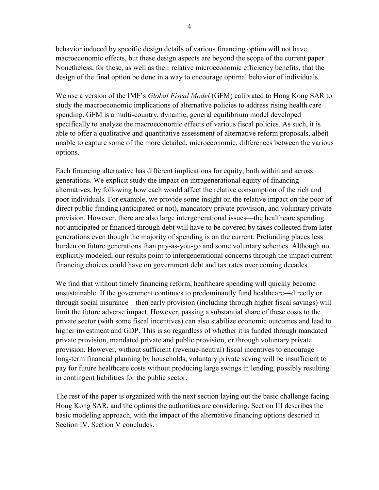behavior induced by specific design details of various financing option will not have macroeconomic effects, but these design aspects are beyond the scope of the current paper. Nonetheless, for these, as well as their relative microeconomic efficiency benefits, that the design of the final option be done in a way to encourage optimal behavior of individuals.

We use a version of the IMF's *Global Fiscal Model* (GFM) calibrated to Hong Kong SAR to study the macroeconomic implications of alternative policies to address rising health care spending. GFM is a multi-country, dynamic, general equilibrium model developed specifically to analyze the macroeconomic effects of various fiscal policies. As such, it is able to offer a qualitative and quantitative assessment of alternative reform proposals, albeit unable to capture some of the more detailed, microeconomic, differences between the various options.

Each financing alternative has different implications for equity, both within and across generations. We explicit study the impact on intragenerational equity of financing alternatives, by following how each would affect the relative consumption of the rich and poor individuals. For example, we provide some insight on the relative impact on the poor of direct public funding (anticipated or not), mandatory private provision, and voluntary private provision. However, there are also large intergenerational issues—the healthcare spending not anticipated or financed through debt will have to be covered by taxes collected from later generations even though the majority of spending is on the current. Prefunding places less burden on future generations than pay-as-you-go and some voluntary schemes. Although not explicitly modeled, our results point to intergenerational concerns through the impact current financing choices could have on government debt and tax rates over coming decades.

We find that without timely financing reform, healthcare spending will quickly become unsustainable. If the government continues to predominantly fund healthcare—directly or through social insurance—then early provision (including through higher fiscal savings) will limit the future adverse impact. However, passing a substantial share of these costs to the private sector (with some fiscal incentives) can also stabilize economic outcomes and lead to higher investment and GDP. This is so regardless of whether it is funded through mandated private provision, mandated private and public provision, or through voluntary private provision. However, without sufficient (revenue-neutral) fiscal incentives to encourage long-term financial planning by households, voluntary private saving will be insufficient to pay for future healthcare costs without producing large swings in lending, possibly resulting in contingent liabilities for the public sector.

The rest of the paper is organized with the next section laying out the basic challenge facing Hong Kong SAR, and the options the authorities are considering. Section III describes the basic modeling approach, with the impact of the alternative financing options descried in Section IV. Section V concludes.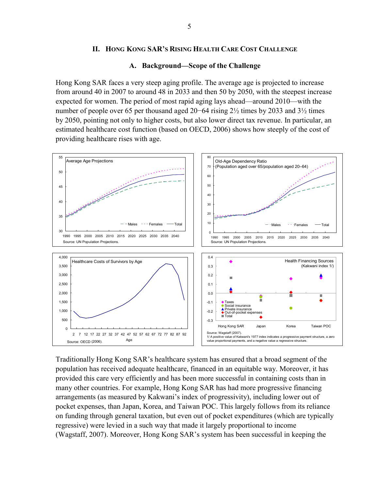#### **II. HONG KONG SAR'S RISING HEALTH CARE COST CHALLENGE**

#### **A. Background—Scope of the Challenge**

Hong Kong SAR faces a very steep aging profile. The average age is projected to increase from around 40 in 2007 to around 48 in 2033 and then 50 by 2050, with the steepest increase expected for women. The period of most rapid aging lays ahead—around 2010—with the number of people over 65 per thousand aged 20−64 rising 2½ times by 2033 and 3½ times by 2050, pointing not only to higher costs, but also lower direct tax revenue. In particular, an estimated healthcare cost function (based on OECD, 2006) shows how steeply of the cost of providing healthcare rises with age.



Traditionally Hong Kong SAR's healthcare system has ensured that a broad segment of the population has received adequate healthcare, financed in an equitable way. Moreover, it has provided this care very efficiently and has been more successful in containing costs than in many other countries. For example, Hong Kong SAR has had more progressive financing arrangements (as measured by Kakwani's index of progressivity), including lower out of pocket expenses, than Japan, Korea, and Taiwan POC. This largely follows from its reliance on funding through general taxation, but even out of pocket expenditures (which are typically regressive) were levied in a such way that made it largely proportional to income (Wagstaff, 2007). Moreover, Hong Kong SAR's system has been successful in keeping the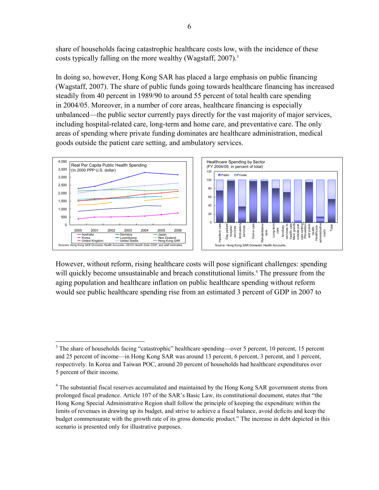share of households facing catastrophic healthcare costs low, with the incidence of these costs typically falling on the more wealthy (Wagstaff, 2007).<sup>3</sup>

In doing so, however, Hong Kong SAR has placed a large emphasis on public financing (Wagstaff, 2007). The share of public funds going towards healthcare financing has increased steadily from 40 percent in 1989/90 to around 55 percent of total health care spending in 2004/05. Moreover, in a number of core areas, healthcare financing is especially unbalanced—the public sector currently pays directly for the vast majority of major services, including hospital-related care, long-term and home care, and preventative care. The only areas of spending where private funding dominates are healthcare administration, medical goods outside the patient care setting, and ambulatory services.





However, without reform, rising healthcare costs will pose significant challenges: spending will quickly become unsustainable and breach constitutional limits.<sup>4</sup> The pressure from the aging population and healthcare inflation on public healthcare spending without reform would see public healthcare spending rise from an estimated 3 percent of GDP in 2007 to

<sup>&</sup>lt;u>.</u> <sup>3</sup> The share of households facing "catastrophic" healthcare spending—over 5 percent, 10 percent, 15 percent and 25 percent of income—in Hong Kong SAR was around 13 percent, 6 percent, 3 percent, and 1 percent, respectively. In Korea and Taiwan POC, around 20 percent of households had healthcare expenditures over 5 percent of their income.

<sup>&</sup>lt;sup>4</sup> The substantial fiscal reserves accumulated and maintained by the Hong Kong SAR government stems from prolonged fiscal prudence. Article 107 of the SAR's Basic Law, its constitutional document, states that "the Hong Kong Special Administrative Region shall follow the principle of keeping the expenditure within the limits of revenues in drawing up its budget, and strive to achieve a fiscal balance, avoid deficits and keep the budget commensurate with the growth rate of its gross domestic product." The increase in debt depicted in this scenario is presented only for illustrative purposes.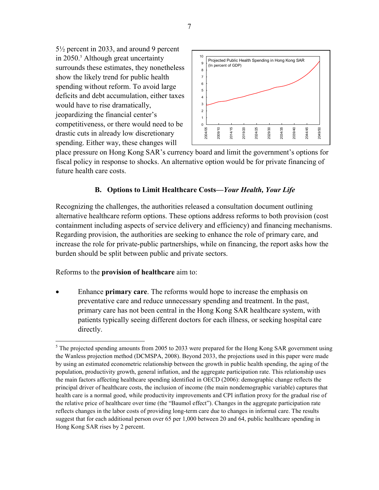5½ percent in 2033, and around 9 percent in 2050.<sup>5</sup> Although great uncertainty surrounds these estimates, they nonetheless show the likely trend for public health spending without reform. To avoid large deficits and debt accumulation, either taxes would have to rise dramatically, jeopardizing the financial center's competitiveness, or there would need to be drastic cuts in already low discretionary spending. Either way, these changes will



place pressure on Hong Kong SAR's currency board and limit the government's options for fiscal policy in response to shocks. An alternative option would be for private financing of future health care costs.

## **B. Options to Limit Healthcare Costs—***Your Health, Your Life*

Recognizing the challenges, the authorities released a consultation document outlining alternative healthcare reform options. These options address reforms to both provision (cost containment including aspects of service delivery and efficiency) and financing mechanisms. Regarding provision, the authorities are seeking to enhance the role of primary care, and increase the role for private-public partnerships, while on financing, the report asks how the burden should be split between public and private sectors.

Reforms to the **provision of healthcare** aim to:

 $\overline{a}$ 

• Enhance **primary care**. The reforms would hope to increase the emphasis on preventative care and reduce unnecessary spending and treatment. In the past, primary care has not been central in the Hong Kong SAR healthcare system, with patients typically seeing different doctors for each illness, or seeking hospital care directly.

 $<sup>5</sup>$  The projected spending amounts from 2005 to 2033 were prepared for the Hong Kong SAR government using</sup> the Wanless projection method (DCMSPA, 2008). Beyond 2033, the projections used in this paper were made by using an estimated econometric relationship between the growth in public health spending, the aging of the population, productivity growth, general inflation, and the aggregate participation rate. This relationship uses the main factors affecting healthcare spending identified in OECD (2006): demographic change reflects the principal driver of healthcare costs, the inclusion of income (the main nondemographic variable) captures that health care is a normal good, while productivity improvements and CPI inflation proxy for the gradual rise of the relative price of healthcare over time (the "Baumol effect"). Changes in the aggregate participation rate reflects changes in the labor costs of providing long-term care due to changes in informal care. The results suggest that for each additional person over 65 per 1,000 between 20 and 64, public healthcare spending in Hong Kong SAR rises by 2 percent.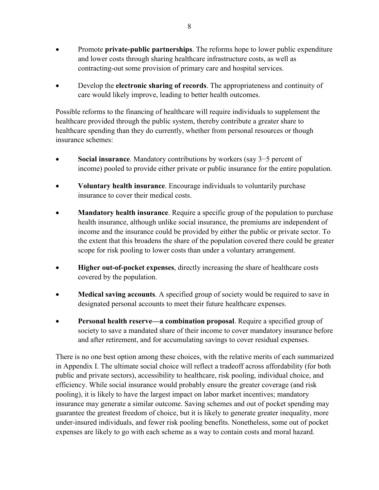- Promote **private-public partnerships**. The reforms hope to lower public expenditure and lower costs through sharing healthcare infrastructure costs, as well as contracting-out some provision of primary care and hospital services.
- Develop the **electronic sharing of records**. The appropriateness and continuity of care would likely improve, leading to better health outcomes.

Possible reforms to the financing of healthcare will require individuals to supplement the healthcare provided through the public system, thereby contribute a greater share to healthcare spending than they do currently, whether from personal resources or though insurance schemes:

- **Social insurance**. Mandatory contributions by workers (say 3−5 percent of income) pooled to provide either private or public insurance for the entire population.
- **Voluntary health insurance**. Encourage individuals to voluntarily purchase insurance to cover their medical costs.
- **Mandatory health insurance**. Require a specific group of the population to purchase health insurance, although unlike social insurance, the premiums are independent of income and the insurance could be provided by either the public or private sector. To the extent that this broadens the share of the population covered there could be greater scope for risk pooling to lower costs than under a voluntary arrangement.
- **Higher out-of-pocket expenses**, directly increasing the share of healthcare costs covered by the population.
- **Medical saving accounts**. A specified group of society would be required to save in designated personal accounts to meet their future healthcare expenses.
- **Personal health reserve—a combination proposal**. Require a specified group of society to save a mandated share of their income to cover mandatory insurance before and after retirement, and for accumulating savings to cover residual expenses.

There is no one best option among these choices, with the relative merits of each summarized in Appendix I. The ultimate social choice will reflect a tradeoff across affordability (for both public and private sectors), accessibility to healthcare, risk pooling, individual choice, and efficiency. While social insurance would probably ensure the greater coverage (and risk pooling), it is likely to have the largest impact on labor market incentives; mandatory insurance may generate a similar outcome. Saving schemes and out of pocket spending may guarantee the greatest freedom of choice, but it is likely to generate greater inequality, more under-insured individuals, and fewer risk pooling benefits. Nonetheless, some out of pocket expenses are likely to go with each scheme as a way to contain costs and moral hazard.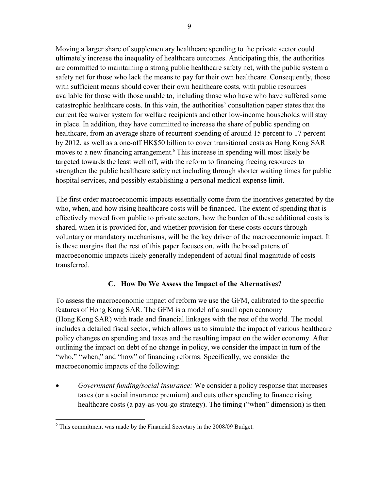Moving a larger share of supplementary healthcare spending to the private sector could ultimately increase the inequality of healthcare outcomes. Anticipating this, the authorities are committed to maintaining a strong public healthcare safety net, with the public system a safety net for those who lack the means to pay for their own healthcare. Consequently, those with sufficient means should cover their own healthcare costs, with public resources available for those with those unable to, including those who have who have suffered some catastrophic healthcare costs. In this vain, the authorities' consultation paper states that the current fee waiver system for welfare recipients and other low-income households will stay in place. In addition, they have committed to increase the share of public spending on healthcare, from an average share of recurrent spending of around 15 percent to 17 percent by 2012, as well as a one-off HK\$50 billion to cover transitional costs as Hong Kong SAR moves to a new financing arrangement.<sup>6</sup> This increase in spending will most likely be targeted towards the least well off, with the reform to financing freeing resources to strengthen the public healthcare safety net including through shorter waiting times for public hospital services, and possibly establishing a personal medical expense limit.

The first order macroeconomic impacts essentially come from the incentives generated by the who, when, and how rising healthcare costs will be financed. The extent of spending that is effectively moved from public to private sectors, how the burden of these additional costs is shared, when it is provided for, and whether provision for these costs occurs through voluntary or mandatory mechanisms, will be the key driver of the macroeconomic impact. It is these margins that the rest of this paper focuses on, with the broad patens of macroeconomic impacts likely generally independent of actual final magnitude of costs transferred.

## **C. How Do We Assess the Impact of the Alternatives?**

To assess the macroeconomic impact of reform we use the GFM, calibrated to the specific features of Hong Kong SAR. The GFM is a model of a small open economy (Hong Kong SAR) with trade and financial linkages with the rest of the world. The model includes a detailed fiscal sector, which allows us to simulate the impact of various healthcare policy changes on spending and taxes and the resulting impact on the wider economy. After outlining the impact on debt of no change in policy, we consider the impact in turn of the "who," "when," and "how" of financing reforms. Specifically, we consider the macroeconomic impacts of the following:

• *Government funding/social insurance:* We consider a policy response that increases taxes (or a social insurance premium) and cuts other spending to finance rising healthcare costs (a pay-as-you-go strategy). The timing ("when" dimension) is then

 $\overline{a}$ 

 $6$  This commitment was made by the Financial Secretary in the 2008/09 Budget.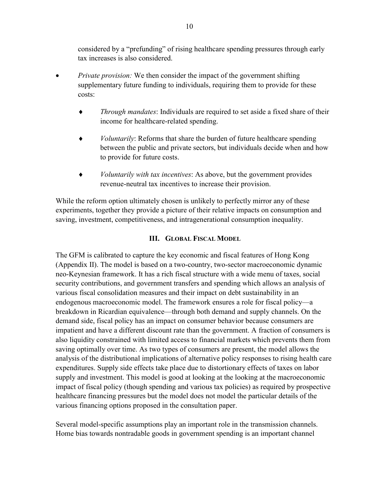considered by a "prefunding" of rising healthcare spending pressures through early tax increases is also considered.

- *Private provision:* We then consider the impact of the government shifting supplementary future funding to individuals, requiring them to provide for these costs:
	- *Through mandates*: Individuals are required to set aside a fixed share of their income for healthcare-related spending.
	- *Voluntarily*: Reforms that share the burden of future healthcare spending between the public and private sectors, but individuals decide when and how to provide for future costs.
	- *Voluntarily with tax incentives*: As above, but the government provides revenue-neutral tax incentives to increase their provision.

While the reform option ultimately chosen is unlikely to perfectly mirror any of these experiments, together they provide a picture of their relative impacts on consumption and saving, investment, competitiveness, and intragenerational consumption inequality.

## **III. GLOBAL FISCAL MODEL**

The GFM is calibrated to capture the key economic and fiscal features of Hong Kong (Appendix II). The model is based on a two-country, two-sector macroeconomic dynamic neo-Keynesian framework. It has a rich fiscal structure with a wide menu of taxes, social security contributions, and government transfers and spending which allows an analysis of various fiscal consolidation measures and their impact on debt sustainability in an endogenous macroeconomic model. The framework ensures a role for fiscal policy—a breakdown in Ricardian equivalence—through both demand and supply channels. On the demand side, fiscal policy has an impact on consumer behavior because consumers are impatient and have a different discount rate than the government. A fraction of consumers is also liquidity constrained with limited access to financial markets which prevents them from saving optimally over time. As two types of consumers are present, the model allows the analysis of the distributional implications of alternative policy responses to rising health care expenditures. Supply side effects take place due to distortionary effects of taxes on labor supply and investment. This model is good at looking at the looking at the macroeconomic impact of fiscal policy (though spending and various tax policies) as required by prospective healthcare financing pressures but the model does not model the particular details of the various financing options proposed in the consultation paper.

Several model-specific assumptions play an important role in the transmission channels. Home bias towards nontradable goods in government spending is an important channel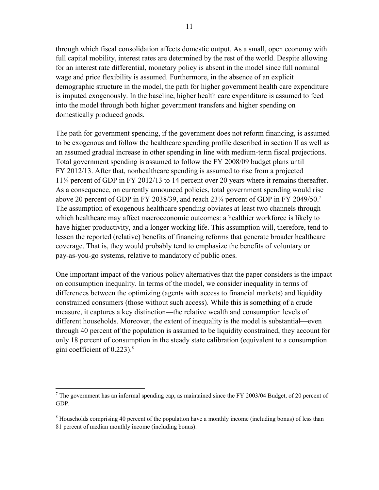through which fiscal consolidation affects domestic output. As a small, open economy with full capital mobility, interest rates are determined by the rest of the world. Despite allowing for an interest rate differential, monetary policy is absent in the model since full nominal wage and price flexibility is assumed. Furthermore, in the absence of an explicit demographic structure in the model, the path for higher government health care expenditure is imputed exogenously. In the baseline, higher health care expenditure is assumed to feed into the model through both higher government transfers and higher spending on domestically produced goods.

The path for government spending, if the government does not reform financing, is assumed to be exogenous and follow the healthcare spending profile described in section II as well as an assumed gradual increase in other spending in line with medium-term fiscal projections. Total government spending is assumed to follow the FY 2008/09 budget plans until FY 2012/13. After that, nonhealthcare spending is assumed to rise from a projected 11¾ percent of GDP in FY 2012/13 to 14 percent over 20 years where it remains thereafter. As a consequence, on currently announced policies, total government spending would rise above 20 percent of GDP in FY 2038/39, and reach 23¼ percent of GDP in FY 2049/50.7 The assumption of exogenous healthcare spending obviates at least two channels through which healthcare may affect macroeconomic outcomes: a healthier workforce is likely to have higher productivity, and a longer working life. This assumption will, therefore, tend to lessen the reported (relative) benefits of financing reforms that generate broader healthcare coverage. That is, they would probably tend to emphasize the benefits of voluntary or pay-as-you-go systems, relative to mandatory of public ones.

One important impact of the various policy alternatives that the paper considers is the impact on consumption inequality. In terms of the model, we consider inequality in terms of differences between the optimizing (agents with access to financial markets) and liquidity constrained consumers (those without such access). While this is something of a crude measure, it captures a key distinction—the relative wealth and consumption levels of different households. Moreover, the extent of inequality is the model is substantial—even through 40 percent of the population is assumed to be liquidity constrained, they account for only 18 percent of consumption in the steady state calibration (equivalent to a consumption gini coefficient of  $0.223$ ).<sup>8</sup>

1

<sup>&</sup>lt;sup>7</sup> The government has an informal spending cap, as maintained since the FY 2003/04 Budget, of 20 percent of GDP.

 $8$  Households comprising 40 percent of the population have a monthly income (including bonus) of less than 81 percent of median monthly income (including bonus).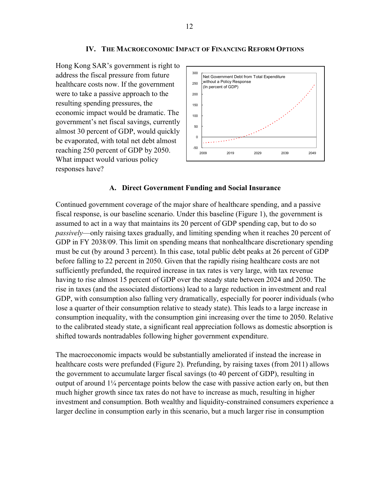#### **IV. THE MACROECONOMIC IMPACT OF FINANCING REFORM OPTIONS**

Hong Kong SAR's government is right to address the fiscal pressure from future healthcare costs now. If the government were to take a passive approach to the resulting spending pressures, the economic impact would be dramatic. The government's net fiscal savings, currently almost 30 percent of GDP, would quickly be evaporated, with total net debt almost reaching 250 percent of GDP by 2050. What impact would various policy responses have?



#### **A. Direct Government Funding and Social Insurance**

Continued government coverage of the major share of healthcare spending, and a passive fiscal response, is our baseline scenario. Under this baseline (Figure 1), the government is assumed to act in a way that maintains its 20 percent of GDP spending cap, but to do so *passively*—only raising taxes gradually, and limiting spending when it reaches 20 percent of GDP in FY 2038/09. This limit on spending means that nonhealthcare discretionary spending must be cut (by around 3 percent). In this case, total public debt peaks at 26 percent of GDP before falling to 22 percent in 2050. Given that the rapidly rising healthcare costs are not sufficiently prefunded, the required increase in tax rates is very large, with tax revenue having to rise almost 15 percent of GDP over the steady state between 2024 and 2050. The rise in taxes (and the associated distortions) lead to a large reduction in investment and real GDP, with consumption also falling very dramatically, especially for poorer individuals (who lose a quarter of their consumption relative to steady state). This leads to a large increase in consumption inequality, with the consumption gini increasing over the time to 2050. Relative to the calibrated steady state, a significant real appreciation follows as domestic absorption is shifted towards nontradables following higher government expenditure.

The macroeconomic impacts would be substantially ameliorated if instead the increase in healthcare costs were prefunded (Figure 2). Prefunding, by raising taxes (from 2011) allows the government to accumulate larger fiscal savings (to 40 percent of GDP), resulting in output of around  $1/4$  percentage points below the case with passive action early on, but then much higher growth since tax rates do not have to increase as much, resulting in higher investment and consumption. Both wealthy and liquidity-constrained consumers experience a larger decline in consumption early in this scenario, but a much larger rise in consumption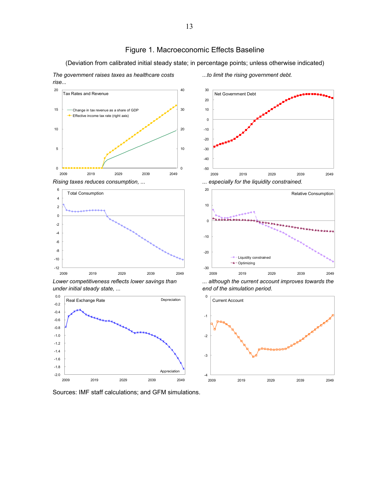

*The government raises taxes as healthcare costs* 





*Lower competitiveness reflects lower savings than under initial steady state, ...* 





Figure 1. Macroeconomic Effects Baseline

(Deviation from calibrated initial steady state; in percentage points; unless otherwise indicated)

10 20 30

 *...to limit the rising government debt.* 

 *... although the current account improves towards the end of the simulation period.* 



Sources: IMF staff calculations; and GFM simulations.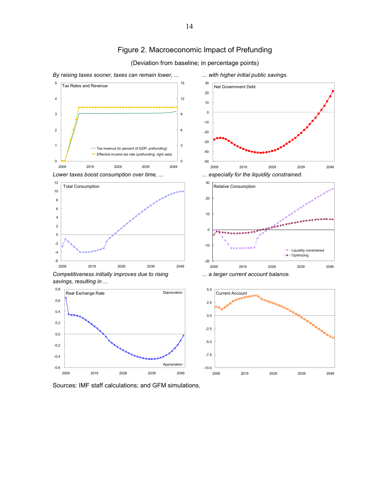



(Deviation from baseline; in percentage points)

Sources: IMF staff calculations; and GFM simulations.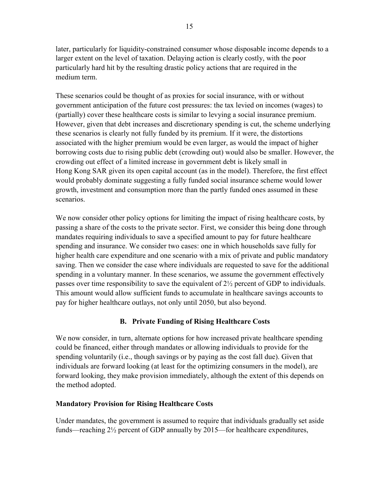later, particularly for liquidity-constrained consumer whose disposable income depends to a larger extent on the level of taxation. Delaying action is clearly costly, with the poor particularly hard hit by the resulting drastic policy actions that are required in the medium term.

These scenarios could be thought of as proxies for social insurance, with or without government anticipation of the future cost pressures: the tax levied on incomes (wages) to (partially) cover these healthcare costs is similar to levying a social insurance premium. However, given that debt increases and discretionary spending is cut, the scheme underlying these scenarios is clearly not fully funded by its premium. If it were, the distortions associated with the higher premium would be even larger, as would the impact of higher borrowing costs due to rising public debt (crowding out) would also be smaller. However, the crowding out effect of a limited increase in government debt is likely small in Hong Kong SAR given its open capital account (as in the model). Therefore, the first effect would probably dominate suggesting a fully funded social insurance scheme would lower growth, investment and consumption more than the partly funded ones assumed in these scenarios.

We now consider other policy options for limiting the impact of rising healthcare costs, by passing a share of the costs to the private sector. First, we consider this being done through mandates requiring individuals to save a specified amount to pay for future healthcare spending and insurance. We consider two cases: one in which households save fully for higher health care expenditure and one scenario with a mix of private and public mandatory saving. Then we consider the case where individuals are requested to save for the additional spending in a voluntary manner. In these scenarios, we assume the government effectively passes over time responsibility to save the equivalent of 2½ percent of GDP to individuals. This amount would allow sufficient funds to accumulate in healthcare savings accounts to pay for higher healthcare outlays, not only until 2050, but also beyond.

## **B. Private Funding of Rising Healthcare Costs**

We now consider, in turn, alternate options for how increased private healthcare spending could be financed, either through mandates or allowing individuals to provide for the spending voluntarily (i.e., though savings or by paying as the cost fall due). Given that individuals are forward looking (at least for the optimizing consumers in the model), are forward looking, they make provision immediately, although the extent of this depends on the method adopted.

## **Mandatory Provision for Rising Healthcare Costs**

Under mandates, the government is assumed to require that individuals gradually set aside funds—reaching 2½ percent of GDP annually by 2015—for healthcare expenditures,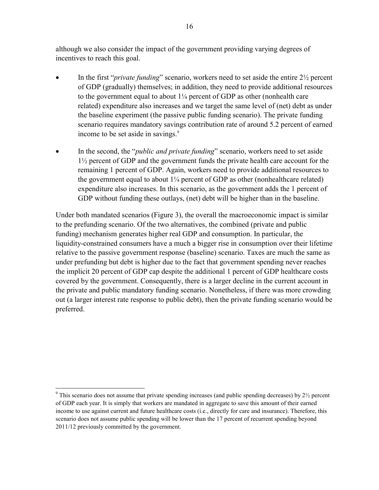although we also consider the impact of the government providing varying degrees of incentives to reach this goal.

- In the first "*private funding*" scenario, workers need to set aside the entire 2½ percent of GDP (gradually) themselves; in addition, they need to provide additional resources to the government equal to about  $1/4$  percent of GDP as other (nonhealth care related) expenditure also increases and we target the same level of (net) debt as under the baseline experiment (the passive public funding scenario). The private funding scenario requires mandatory savings contribution rate of around 5.2 percent of earned income to be set aside in savings.<sup>9</sup>
- In the second, the "*public and private funding*" scenario, workers need to set aside 1½ percent of GDP and the government funds the private health care account for the remaining 1 percent of GDP. Again, workers need to provide additional resources to the government equal to about  $1\frac{1}{4}$  percent of GDP as other (nonhealthcare related) expenditure also increases. In this scenario, as the government adds the 1 percent of GDP without funding these outlays, (net) debt will be higher than in the baseline.

Under both mandated scenarios (Figure 3), the overall the macroeconomic impact is similar to the prefunding scenario. Of the two alternatives, the combined (private and public funding) mechanism generates higher real GDP and consumption. In particular, the liquidity-constrained consumers have a much a bigger rise in consumption over their lifetime relative to the passive government response (baseline) scenario. Taxes are much the same as under prefunding but debt is higher due to the fact that government spending never reaches the implicit 20 percent of GDP cap despite the additional 1 percent of GDP healthcare costs covered by the government. Consequently, there is a larger decline in the current account in the private and public mandatory funding scenario. Nonetheless, if there was more crowding out (a larger interest rate response to public debt), then the private funding scenario would be preferred.

1

<sup>&</sup>lt;sup>9</sup> This scenario does not assume that private spending increases (and public spending decreases) by  $2\frac{1}{2}$  percent of GDP each year. It is simply that workers are mandated in aggregate to save this amount of their earned income to use against current and future healthcare costs (i.e., directly for care and insurance). Therefore, this scenario does not assume public spending will be lower than the 17 percent of recurrent spending beyond 2011/12 previously committed by the government.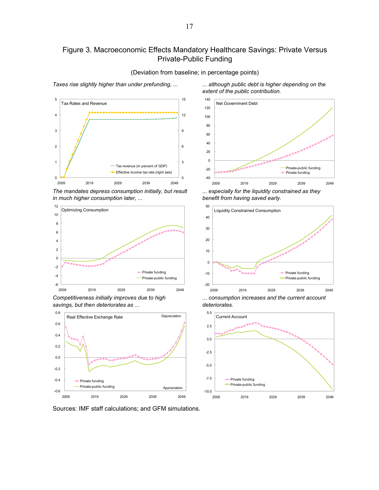## Figure 3. Macroeconomic Effects Mandatory Healthcare Savings: Private Versus Private-Public Funding

(Deviation from baseline; in percentage points)



*The mandates depress consumption initially, but result in much higher consumption later, ...* 



*Competitiveness initially improves due to high savings, but then deteriorates as ...* 



*Taxes rise slightly higher than under prefunding, ... ... although public debt is higher depending on the extent of the public contribution.* 



 *... especially for the liquidity constrained as they benefit from having saved early.* 



 *... consumption increases and the current account deteriorates.* 



Sources: IMF staff calculations; and GFM simulations.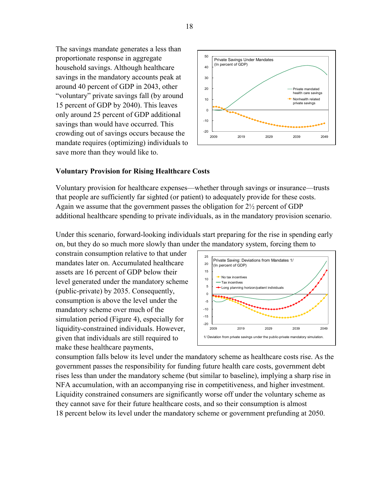The savings mandate generates a less than proportionate response in aggregate household savings. Although healthcare savings in the mandatory accounts peak at around 40 percent of GDP in 2043, other "voluntary" private savings fall (by around 15 percent of GDP by 2040). This leaves only around 25 percent of GDP additional savings than would have occurred. This crowding out of savings occurs because the mandate requires (optimizing) individuals to save more than they would like to.



#### **Voluntary Provision for Rising Healthcare Costs**

Voluntary provision for healthcare expenses—whether through savings or insurance—trusts that people are sufficiently far sighted (or patient) to adequately provide for these costs. Again we assume that the government passes the obligation for 2½ percent of GDP additional healthcare spending to private individuals, as in the mandatory provision scenario.

Under this scenario, forward-looking individuals start preparing for the rise in spending early on, but they do so much more slowly than under the mandatory system, forcing them to

constrain consumption relative to that under mandates later on. Accumulated healthcare assets are 16 percent of GDP below their level generated under the mandatory scheme (public-private) by 2035. Consequently, consumption is above the level under the mandatory scheme over much of the simulation period (Figure 4), especially for liquidity-constrained individuals. However, given that individuals are still required to make these healthcare payments,



consumption falls below its level under the mandatory scheme as healthcare costs rise. As the government passes the responsibility for funding future health care costs, government debt rises less than under the mandatory scheme (but similar to baseline), implying a sharp rise in NFA accumulation, with an accompanying rise in competitiveness, and higher investment. Liquidity constrained consumers are significantly worse off under the voluntary scheme as they cannot save for their future healthcare costs, and so their consumption is almost 18 percent below its level under the mandatory scheme or government prefunding at 2050.

18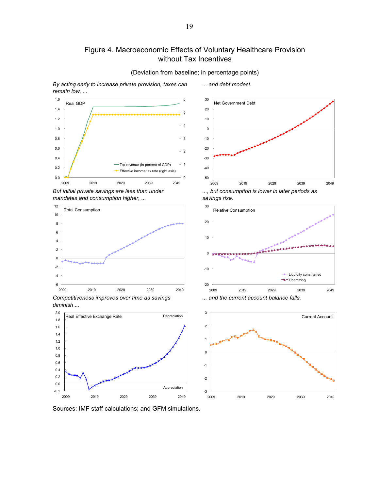## Figure 4. Macroeconomic Effects of Voluntary Healthcare Provision without Tax Incentives

(Deviation from baseline; in percentage points)

 *... and debt modest.* 

*By acting early to increase private provision, taxes can remain low, ...* 







*Competitiveness improves over time as savings diminish ...* 





 *<sup>...,</sup> but consumption is lower in later periods as savings rise.* 



 *... and the current account balance falls.* 



Sources: IMF staff calculations; and GFM simulations.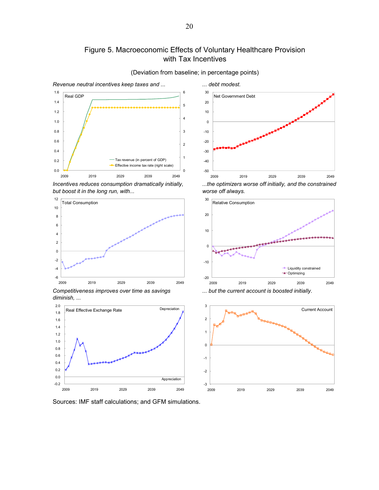## Figure 5. Macroeconomic Effects of Voluntary Healthcare Provision with Tax Incentives

(Deviation from baseline; in percentage points)



*but boost it in the long run, with...* 



*Competitiveness improves over time as savings diminish, ...* 





 *...the optimizers worse off initially, and the constrained worse off always.* 



 *... but the current account is boosted initially.* 



Sources: IMF staff calculations; and GFM simulations.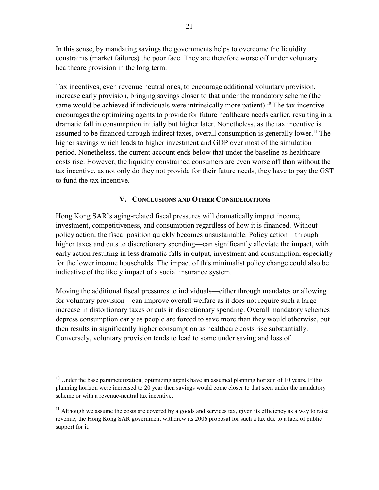In this sense, by mandating savings the governments helps to overcome the liquidity constraints (market failures) the poor face. They are therefore worse off under voluntary healthcare provision in the long term.

Tax incentives, even revenue neutral ones, to encourage additional voluntary provision, increase early provision, bringing savings closer to that under the mandatory scheme (the same would be achieved if individuals were intrinsically more patient).<sup>10</sup> The tax incentive encourages the optimizing agents to provide for future healthcare needs earlier, resulting in a dramatic fall in consumption initially but higher later. Nonetheless, as the tax incentive is assumed to be financed through indirect taxes, overall consumption is generally lower.<sup>11</sup> The higher savings which leads to higher investment and GDP over most of the simulation period. Nonetheless, the current account ends below that under the baseline as healthcare costs rise. However, the liquidity constrained consumers are even worse off than without the tax incentive, as not only do they not provide for their future needs, they have to pay the GST to fund the tax incentive.

## **V. CONCLUSIONS AND OTHER CONSIDERATIONS**

Hong Kong SAR's aging-related fiscal pressures will dramatically impact income, investment, competitiveness, and consumption regardless of how it is financed. Without policy action, the fiscal position quickly becomes unsustainable. Policy action—through higher taxes and cuts to discretionary spending—can significantly alleviate the impact, with early action resulting in less dramatic falls in output, investment and consumption, especially for the lower income households. The impact of this minimalist policy change could also be indicative of the likely impact of a social insurance system.

Moving the additional fiscal pressures to individuals—either through mandates or allowing for voluntary provision—can improve overall welfare as it does not require such a large increase in distortionary taxes or cuts in discretionary spending. Overall mandatory schemes depress consumption early as people are forced to save more than they would otherwise, but then results in significantly higher consumption as healthcare costs rise substantially. Conversely, voluntary provision tends to lead to some under saving and loss of

 $\overline{a}$ 

<sup>&</sup>lt;sup>10</sup> Under the base parameterization, optimizing agents have an assumed planning horizon of 10 years. If this planning horizon were increased to 20 year then savings would come closer to that seen under the mandatory scheme or with a revenue-neutral tax incentive.

 $11$  Although we assume the costs are covered by a goods and services tax, given its efficiency as a way to raise revenue, the Hong Kong SAR government withdrew its 2006 proposal for such a tax due to a lack of public support for it.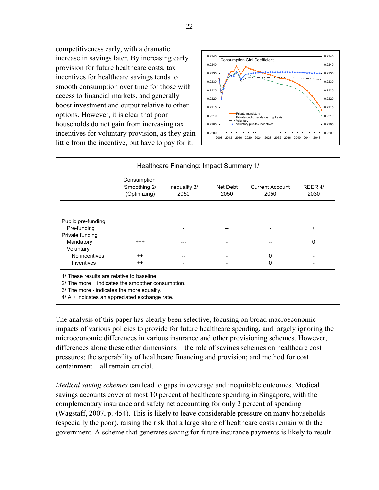competitiveness early, with a dramatic increase in savings later. By increasing early provision for future healthcare costs, tax incentives for healthcare savings tends to smooth consumption over time for those with access to financial markets, and generally boost investment and output relative to other options. However, it is clear that poor households do not gain from increasing tax incentives for voluntary provision, as they gain little from the incentive, but have to pay for it.



|                        | Consumption<br>Smoothing 2/<br>(Optimizing) | Inequality 3/<br>2050 | Net Debt<br>2050 | <b>Current Account</b><br>2050 | REER 4/<br>2030 |
|------------------------|---------------------------------------------|-----------------------|------------------|--------------------------------|-----------------|
|                        |                                             |                       |                  |                                |                 |
| Public pre-funding     |                                             |                       |                  |                                |                 |
| Pre-funding            | $\ddot{}$                                   |                       |                  |                                |                 |
| Private funding        |                                             |                       |                  |                                |                 |
| Mandatory<br>Voluntary | $^{+++}$                                    |                       |                  |                                | $\Omega$        |
| No incentives          | $++$                                        |                       |                  | 0                              |                 |
| Inventives             | $^{++}$                                     |                       |                  | 0                              |                 |

4/ A + indicates an appreciated exchange rate.

The analysis of this paper has clearly been selective, focusing on broad macroeconomic impacts of various policies to provide for future healthcare spending, and largely ignoring the microeconomic differences in various insurance and other provisioning schemes. However, differences along these other dimensions—the role of savings schemes on healthcare cost pressures; the seperability of healthcare financing and provision; and method for cost containment—all remain crucial.

*Medical saving schemes* can lead to gaps in coverage and inequitable outcomes. Medical savings accounts cover at most 10 percent of healthcare spending in Singapore, with the complementary insurance and safety net accounting for only 2 percent of spending (Wagstaff, 2007, p. 454). This is likely to leave considerable pressure on many households (especially the poor), raising the risk that a large share of healthcare costs remain with the government. A scheme that generates saving for future insurance payments is likely to result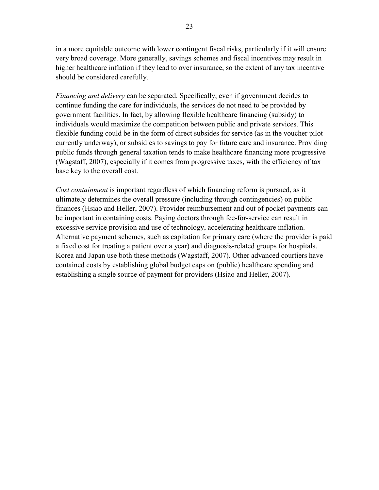in a more equitable outcome with lower contingent fiscal risks, particularly if it will ensure very broad coverage. More generally, savings schemes and fiscal incentives may result in higher healthcare inflation if they lead to over insurance, so the extent of any tax incentive should be considered carefully.

*Financing and delivery* can be separated. Specifically, even if government decides to continue funding the care for individuals, the services do not need to be provided by government facilities. In fact, by allowing flexible healthcare financing (subsidy) to individuals would maximize the competition between public and private services. This flexible funding could be in the form of direct subsides for service (as in the voucher pilot currently underway), or subsidies to savings to pay for future care and insurance. Providing public funds through general taxation tends to make healthcare financing more progressive (Wagstaff, 2007), especially if it comes from progressive taxes, with the efficiency of tax base key to the overall cost.

*Cost containment* is important regardless of which financing reform is pursued, as it ultimately determines the overall pressure (including through contingencies) on public finances (Hsiao and Heller, 2007). Provider reimbursement and out of pocket payments can be important in containing costs. Paying doctors through fee-for-service can result in excessive service provision and use of technology, accelerating healthcare inflation. Alternative payment schemes, such as capitation for primary care (where the provider is paid a fixed cost for treating a patient over a year) and diagnosis-related groups for hospitals. Korea and Japan use both these methods (Wagstaff, 2007). Other advanced courtiers have contained costs by establishing global budget caps on (public) healthcare spending and establishing a single source of payment for providers (Hsiao and Heller, 2007).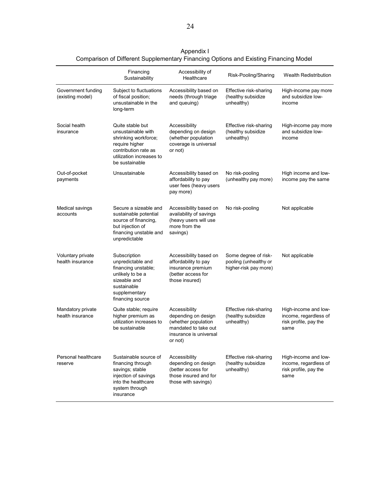|                                        | Financing<br>Sustainability                                                                                                                            | Accessibility of<br>Healthcare                                                                                           | Risk-Pooling/Sharing                                                   | <b>Wealth Redistribution</b>                                                   |
|----------------------------------------|--------------------------------------------------------------------------------------------------------------------------------------------------------|--------------------------------------------------------------------------------------------------------------------------|------------------------------------------------------------------------|--------------------------------------------------------------------------------|
| Government funding<br>(existing model) | Subject to fluctuations<br>of fiscal position;<br>unsustainable in the<br>long-term                                                                    | Accessibility based on<br>needs (through triage<br>and queuing)                                                          | Effective risk-sharing<br>(healthy subsidize<br>unhealthy)             | High-income pay more<br>and subsidize low-<br>income                           |
| Social health<br>insurance             | Quite stable but<br>unsustainable with<br>shrinking workforce;<br>require higher<br>contribution rate as<br>utilization increases to<br>be sustainable | Accessibility<br>depending on design<br>(whether population<br>coverage is universal<br>or not)                          | Effective risk-sharing<br>(healthy subsidize<br>unhealthy)             | High-income pay more<br>and subsidize low-<br>income                           |
| Out-of-pocket<br>payments              | Unsustainable                                                                                                                                          | Accessibility based on<br>affordability to pay<br>user fees (heavy users<br>pay more)                                    | No risk-pooling<br>(unhealthy pay more)                                | High income and low-<br>income pay the same                                    |
| Medical savings<br>accounts            | Secure a sizeable and<br>sustainable potential<br>source of financing,<br>but injection of<br>financing unstable and<br>unpredictable                  | Accessibility based on<br>availability of savings<br>(heavy users will use<br>more from the<br>savings)                  | No risk-pooling                                                        | Not applicable                                                                 |
| Voluntary private<br>health insurance  | Subscription<br>unpredictable and<br>financing unstable;<br>unlikely to be a<br>sizeable and<br>sustainable<br>supplementary<br>financing source       | Accessibility based on<br>affordability to pay<br>insurance premium<br>(better access for<br>those insured)              | Some degree of risk-<br>pooling (unhealthy or<br>higher-risk pay more) | Not applicable                                                                 |
| Mandatory private<br>health insurance  | Quite stable; require<br>higher premium as<br>utilization increases to<br>be sustainable                                                               | Accessibility<br>depending on design<br>(whether population<br>mandated to take out<br>insurance is universal<br>or not) | Effective risk-sharing<br>(healthy subsidize<br>unhealthy)             | High-income and low-<br>income, regardless of<br>risk profile, pay the<br>same |
| Personal healthcare<br>reserve         | Sustainable source of<br>financing through<br>savings; stable<br>injection of savings<br>into the healthcare<br>system through<br>insurance            | Accessibility<br>depending on design<br>(better access for<br>those insured and for<br>those with savings)               | Effective risk-sharing<br>(healthy subsidize<br>unhealthy)             | High-income and low-<br>income, regardless of<br>risk profile, pay the<br>same |

Comparison of Different Supplementary Financing Options and Existing Financing Model Appendix I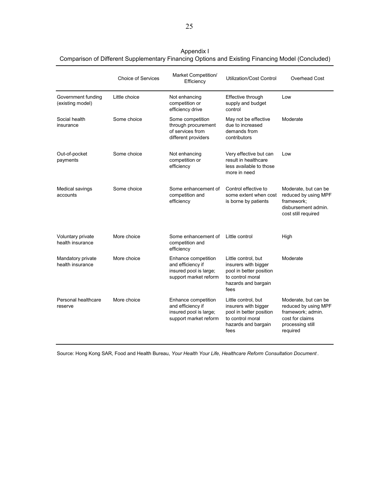| Appendix I                                                                                       |
|--------------------------------------------------------------------------------------------------|
| Comparison of Different Supplementary Financing Options and Existing Financing Model (Concluded) |

|                                        | <b>Choice of Services</b> | Market Competition/<br>Efficiency                                                           | Utilization/Cost Control                                                                                                  | Overhead Cost                                                                                                        |
|----------------------------------------|---------------------------|---------------------------------------------------------------------------------------------|---------------------------------------------------------------------------------------------------------------------------|----------------------------------------------------------------------------------------------------------------------|
| Government funding<br>(existing model) | Little choice             | Not enhancing<br>competition or<br>efficiency drive                                         | Effective through<br>supply and budget<br>control                                                                         | Low                                                                                                                  |
| Social health<br>insurance             | Some choice               | Some competition<br>through procurement<br>of services from<br>different providers          | May not be effective<br>due to increased<br>demands from<br>contributors                                                  | Moderate                                                                                                             |
| Out-of-pocket<br>payments              | Some choice               | Not enhancing<br>competition or<br>efficiency                                               | Very effective but can<br>result in healthcare<br>less available to those<br>more in need                                 | Low                                                                                                                  |
| Medical savings<br>accounts            | Some choice               | Some enhancement of<br>competition and<br>efficiency                                        | Control effective to<br>some extent when cost<br>is borne by patients                                                     | Moderate, but can be<br>reduced by using MPF<br>framework;<br>disbursement admin.<br>cost still required             |
| Voluntary private<br>health insurance  | More choice               | Some enhancement of<br>competition and<br>efficiency                                        | Little control                                                                                                            | High                                                                                                                 |
| Mandatory private<br>health insurance  | More choice               | Enhance competition<br>and efficiency if<br>insured pool is large;<br>support market reform | Little control, but<br>insurers with bigger<br>pool in better position<br>to control moral<br>hazards and bargain<br>fees | Moderate                                                                                                             |
| Personal healthcare<br>reserve         | More choice               | Enhance competition<br>and efficiency if<br>insured pool is large;<br>support market reform | Little control, but<br>insurers with bigger<br>pool in better position<br>to control moral<br>hazards and bargain<br>fees | Moderate, but can be<br>reduced by using MPF<br>framework: admin.<br>cost for claims<br>processing still<br>required |

Source: Hong Kong SAR, Food and Health Bureau, *Your Health Your Life, Healthcare Reform Consultation Document* .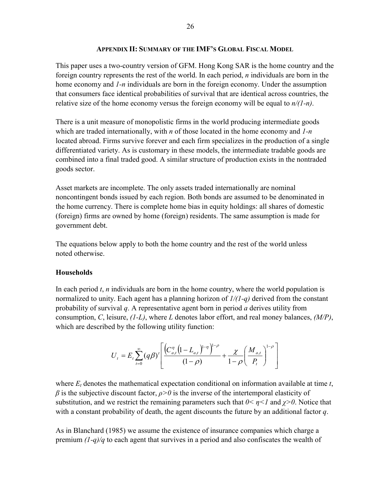#### **APPENDIX II: SUMMARY OF THE IMF'S GLOBAL FISCAL MODEL**

This paper uses a two-country version of GFM. Hong Kong SAR is the home country and the foreign country represents the rest of the world. In each period, *n* individuals are born in the home economy and *1-n* individuals are born in the foreign economy. Under the assumption that consumers face identical probabilities of survival that are identical across countries, the relative size of the home economy versus the foreign economy will be equal to *n/(1-n)*.

There is a unit measure of monopolistic firms in the world producing intermediate goods which are traded internationally, with *n* of those located in the home economy and *1-n* located abroad. Firms survive forever and each firm specializes in the production of a single differentiated variety. As is customary in these models, the intermediate tradable goods are combined into a final traded good. A similar structure of production exists in the nontraded goods sector.

Asset markets are incomplete. The only assets traded internationally are nominal noncontingent bonds issued by each region. Both bonds are assumed to be denominated in the home currency. There is complete home bias in equity holdings: all shares of domestic (foreign) firms are owned by home (foreign) residents. The same assumption is made for government debt.

The equations below apply to both the home country and the rest of the world unless noted otherwise.

#### **Households**

In each period  $t$ ,  $n$  individuals are born in the home country, where the world population is normalized to unity. Each agent has a planning horizon of *1/(1-q)* derived from the constant probability of survival *q*. A representative agent born in period *a* derives utility from consumption, *C*, leisure, *(1-L)*, where *L* denotes labor effort, and real money balances, *(M/P)*, which are described by the following utility function:

$$
U_{t} = E_{t} \sum_{t=0}^{\infty} (q\beta)^{t} \left[ \frac{\left(C_{a,t}^{\eta} \left(1 - L_{a,t}\right)^{1-\eta}\right)^{1-\rho}}{(1-\rho)} + \frac{\chi}{1-\rho} \left(\frac{M_{a,t}}{P_{t}}\right)^{1-\rho} \right]
$$

where  $E_t$  denotes the mathematical expectation conditional on information available at time  $t$ , *β* is the subjective discount factor,  $\rho > 0$  is the inverse of the intertemporal elasticity of substitution, and we restrict the remaining parameters such that  $0 \le \eta \le 1$  and  $\chi > 0$ . Notice that with a constant probability of death, the agent discounts the future by an additional factor *q*.

As in Blanchard (1985) we assume the existence of insurance companies which charge a premium *(1-q)/q* to each agent that survives in a period and also confiscates the wealth of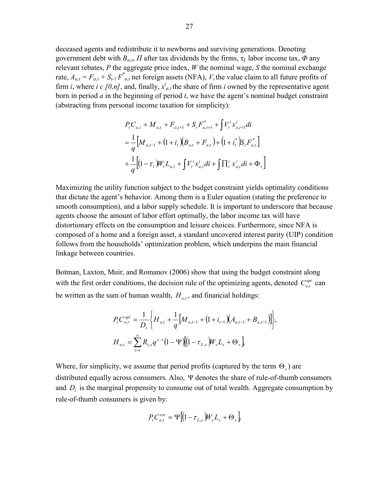deceased agents and redistribute it to newborns and surviving generations. Denoting government debt with  $B_{a,s}$ ,  $\Pi$  after tax dividends by the firms,  $\tau_L$  labor income tax,  $\Phi$  any relevant rebates, *P* the aggregate price index, *W* the nominal wage, *S* the nominal exchange rate,  $A_{a,t} = F_{a,t} + S_{t}F_{a,t}^*$  net foreign assets (NFA),  $V_i$  the value claim to all future profits of firm *i*, where *i*  $\epsilon$  [0,n], and, finally,  $x^i_{a,t}$  the share of firm *i* owned by the representative agent born in period *a* in the beginning of period *t*, we have the agent's nominal budget constraint (abstracting from personal income taxation for simplicity):

$$
P_{t}C_{a,t} + M_{a,t} + F_{a,t+1} + S_{t}F_{a,t+1}^{*} + \int V_{t}^{i}x_{a,t+1}^{i}di
$$
  
=  $\frac{1}{q}$  $\left[M_{a,t-1} + (1+i_{t})(B_{a,t} + F_{a,t}) + (1+i_{t}^{*})S_{t}F_{a,t}^{*}\right]$   
+  $\frac{1}{q}$  $\left[(1-\tau_{t})W_{t}L_{a,t} + \int V_{t}^{i}x_{a,t}^{i}di + \int \prod_{t}^{i}x_{a,t}^{i}di + \Phi_{t}\right]$ 

Maximizing the utility function subject to the budget constraint yields optimality conditions that dictate the agent's behavior. Among them is a Euler equation (stating the preference to smooth consumption), and a labor supply schedule. It is important to underscore that because agents choose the amount of labor effort optimally, the labor income tax will have distortionary effects on the consumption and leisure choices. Furthermore, since NFA is composed of a home and a foreign asset, a standard uncovered interest parity (UIP) condition follows from the households' optimization problem, which underpins the main financial linkage between countries.

Botman, Laxton, Muir, and Romanov (2006) show that using the budget constraint along with the first order conditions, the decision rule of the optimizing agents, denoted  $C_{a,t}^{opt}$  can be written as the sum of human wealth,  $H_{at}$ , and financial holdings:

$$
P_{i}C_{a,t}^{opt} = \frac{1}{D_{t}} \left\{ H_{a,t} + \frac{1}{q} \Big[ M_{a,t-1} + (1 + i_{t-1}) \Big( A_{a,t-1} + B_{a,t-1} \Big) \Big] \right\},\newline H_{a,t} = \sum_{s=t}^{\infty} R_{t,s} q^{s-t} (1 - \Psi) \Big[ (1 - \tau_{L,s}) W_{s} L_{s} + \Theta_{s} \Big],
$$

Where, for simplicity, we assume that period profits (captured by the term  $\Theta_s$ ) are distributed equally across consumers. Also, Ψ denotes the share of rule-of-thumb consumers and  $D<sub>t</sub>$  is the marginal propensity to consume out of total wealth. Aggregate consumption by rule-of-thumb consumers is given by:

$$
P_t C_{a,t}^{rot} = \Psi \left[ \left( 1 - \tau_{L,s} \right) W_s L_s + \Theta_s \right]
$$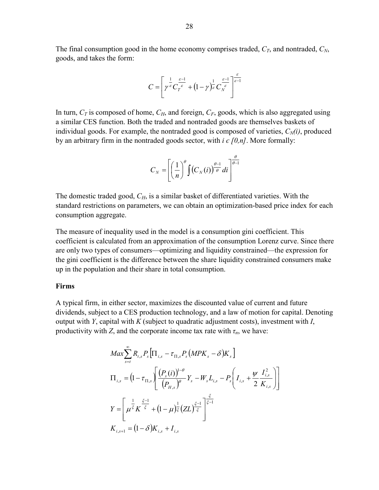The final consumption good in the home economy comprises traded,  $C_T$ , and nontraded,  $C_N$ , goods, and takes the form:

$$
C = \left[ \gamma^{\frac{1}{\varepsilon}} C_{T}^{\frac{\varepsilon - 1}{\varepsilon}} + (1 - \gamma)^{\frac{1}{\varepsilon}} C_{N}^{\frac{\varepsilon - 1}{\varepsilon}} \right]^{\frac{\varepsilon}{\varepsilon - 1}}
$$

In turn,  $C_T$  is composed of home,  $C_H$ , and foreign,  $C_F$ , goods, which is also aggregated using a similar CES function. Both the traded and nontraded goods are themselves baskets of individual goods. For example, the nontraded good is composed of varieties,  $C_N(i)$ , produced by an arbitrary firm in the nontraded goods sector, with  $i \in [0,n]$ . More formally:

$$
C_N = \left[ \left( \frac{1}{n} \right)^{\theta} \int \left( C_N(i) \right)^{\frac{\theta - 1}{\theta}} di \right]^{\frac{\theta}{\theta - 1}}
$$

The domestic traded good,  $C_H$ , is a similar basket of differentiated varieties. With the standard restrictions on parameters, we can obtain an optimization-based price index for each consumption aggregate.

The measure of inequality used in the model is a consumption gini coefficient. This coefficient is calculated from an approximation of the consumption Lorenz curve. Since there are only two types of consumers—optimizing and liquidity constrained—the expression for the gini coefficient is the difference between the share liquidity constrained consumers make up in the population and their share in total consumption.

#### **Firms**

A typical firm, in either sector, maximizes the discounted value of current and future dividends, subject to a CES production technology, and a law of motion for capital. Denoting output with *Y*, capital with *K* (subject to quadratic adjustment costs), investment with *I*, productivity with *Z*, and the corporate income tax rate with  $\tau_n$ , we have:

$$
Max \sum_{s=t}^{\infty} R_{t,s} P_s \left[ \Pi_{i,s} - \tau_{\Pi,s} P_s \left( MPK_s - \delta \right) K_s \right]
$$
  
\n
$$
\Pi_{i,s} = \left( 1 - \tau_{\Pi,s} \right) \left[ \frac{\left( P_s(i) \right)^{1-\theta}}{\left( P_{H,s} \right)^{\theta}} Y_s - W_s L_{i,s} - P_s \left( I_{i,s} + \frac{\psi}{2} \frac{I_{i,s}^2}{K_{i,s}} \right) \right]
$$
  
\n
$$
Y = \left[ \mu^{\frac{1}{\xi}} K^{\frac{\xi-1}{\xi}} + \left( 1 - \mu \right)_{\xi}^{\frac{1}{\xi}} \left( Z L \right)^{\frac{\xi-1}{\xi}} \right]^{\frac{\xi}{\xi-1}}
$$
  
\n
$$
K_{i,s+1} = \left( 1 - \delta \right) K_{i,s} + I_{i,s}
$$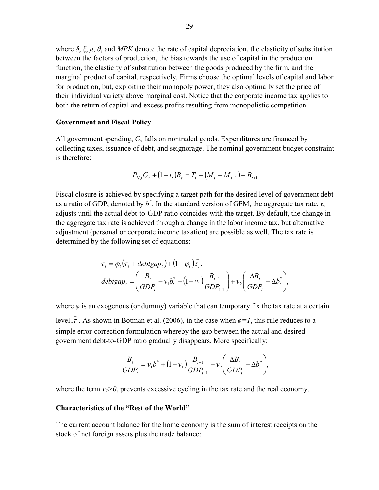where  $\delta$ ,  $\xi$ ,  $\mu$ ,  $\theta$ , and *MPK* denote the rate of capital depreciation, the elasticity of substitution between the factors of production, the bias towards the use of capital in the production function, the elasticity of substitution between the goods produced by the firm, and the marginal product of capital, respectively. Firms choose the optimal levels of capital and labor for production, but, exploiting their monopoly power, they also optimally set the price of their individual variety above marginal cost. Notice that the corporate income tax applies to both the return of capital and excess profits resulting from monopolistic competition.

#### **Government and Fiscal Policy**

All government spending, *G*, falls on nontraded goods. Expenditures are financed by collecting taxes, issuance of debt, and seignorage. The nominal government budget constraint is therefore:

$$
P_{N,t}G_t + (1+i_t)B_t = T_t + (M_t - M_{t-1}) + B_{t+1}
$$

Fiscal closure is achieved by specifying a target path for the desired level of government debt as a ratio of GDP, denoted by  $b^*$ . In the standard version of GFM, the aggregate tax rate,  $\tau$ , adjusts until the actual debt-to-GDP ratio coincides with the target. By default, the change in the aggregate tax rate is achieved through a change in the labor income tax, but alternative adjustment (personal or corporate income taxation) are possible as well. The tax rate is determined by the following set of equations:

$$
\tau_{t} = \varphi_{t}(\tau_{t} + \text{debtgap}_{t}) + (1 - \varphi_{t})\bar{\tau}_{t},
$$
\n
$$
\text{debtgap}_{t} = \left(\frac{B_{t}}{GDP_{t}} - \nu_{1}b_{t}^{*} - (1 - \nu_{1})\frac{B_{t-1}}{GDP_{t-1}}\right) + \nu_{2}\left(\frac{\Delta B_{t}}{GDP_{t}} - \Delta b_{t}^{*}\right),
$$

where  $\varphi$  is an exogenous (or dummy) variable that can temporary fix the tax rate at a certain level,  $\bar{\tau}$ . As shown in Botman et al. (2006), in the case when  $\varphi = I$ , this rule reduces to a simple error-correction formulation whereby the gap between the actual and desired government debt-to-GDP ratio gradually disappears. More specifically:

$$
\frac{B_t}{GDP_t} = v_1 b_t^* + (1 - v_1) \frac{B_{t-1}}{GDP_{t-1}} - v_2 \left( \frac{\Delta B_t}{GDP_t} - \Delta b_t^* \right),
$$

where the term  $v_2 > 0$ , prevents excessive cycling in the tax rate and the real economy.

## **Characteristics of the "Rest of the World"**

The current account balance for the home economy is the sum of interest receipts on the stock of net foreign assets plus the trade balance: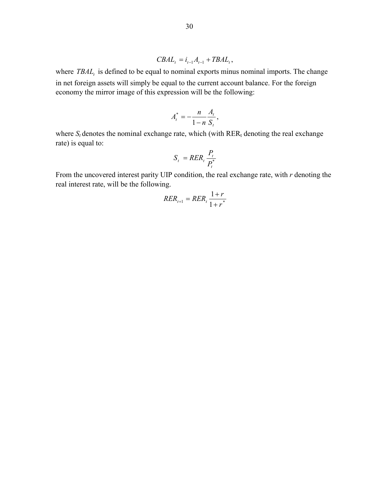$$
CBAL_t = i_{t-1}A_{t-1} + TBAL_t,
$$

where *TBAL*, is defined to be equal to nominal exports minus nominal imports. The change in net foreign assets will simply be equal to the current account balance. For the foreign economy the mirror image of this expression will be the following:

$$
A_t^* = -\frac{n}{1-n} \frac{A_t}{S_t},
$$

where  $S_t$  denotes the nominal exchange rate, which (with  $RER_t$  denoting the real exchange rate) is equal to:

$$
S_t = RER_t \frac{P_t}{P_t^*}
$$

From the uncovered interest parity UIP condition, the real exchange rate, with *r* denoting the real interest rate, will be the following.

$$
RER_{t+1} = RER_t \frac{1+r}{1+r^*}
$$